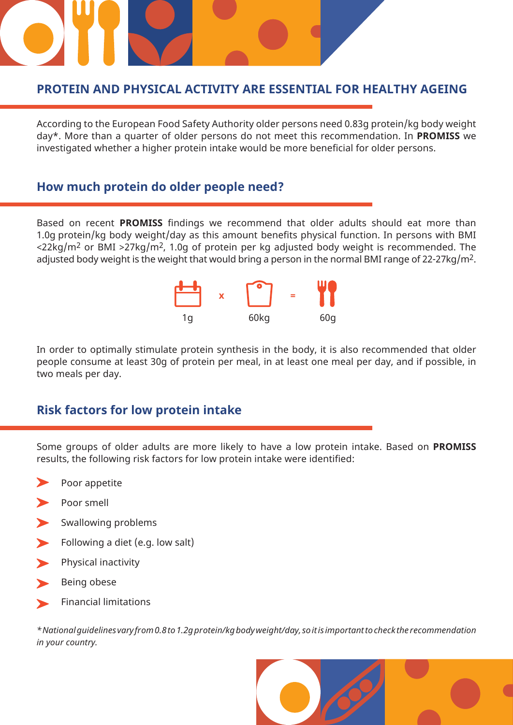### **PROTEIN AND PHYSICAL ACTIVITY ARE ESSENTIAL FOR HEALTHY AGEING**

According to the European Food Safety Authority older persons need 0.83g protein/kg body weight day\*. More than a quarter of older persons do not meet this recommendation. In **PROMISS** we investigated whether a higher protein intake would be more beneficial for older persons.

#### **How much protein do older people need?**

Based on recent **PROMISS** findings we recommend that older adults should eat more than 1.0g protein/kg body weight/day as this amount benefits physical function. In persons with BMI  $\langle 22 \text{kg/m}^2 \text{ or BMI } \rangle$  27kg/m<sup>2</sup>, 1.0g of protein per kg adjusted body weight is recommended. The adjusted body weight is the weight that would bring a person in the normal BMI range of 22-27kg/m2.



In order to optimally stimulate protein synthesis in the body, it is also recommended that older people consume at least 30g of protein per meal, in at least one meal per day, and if possible, in two meals per day.

#### **Risk factors for low protein intake**

Some groups of older adults are more likely to have a low protein intake. Based on **PROMISS**  results, the following risk factors for low protein intake were identified:

- Poor appetite
- Poor smell
- Swallowing problems
- Following a diet (e.g. low salt)
- Physical inactivity
- Being obese
- Financial limitations

*\* National guidelines vary from 0.8 to 1.2g protein/kg body weight/day, so it is important to check the recommendation in your country.*